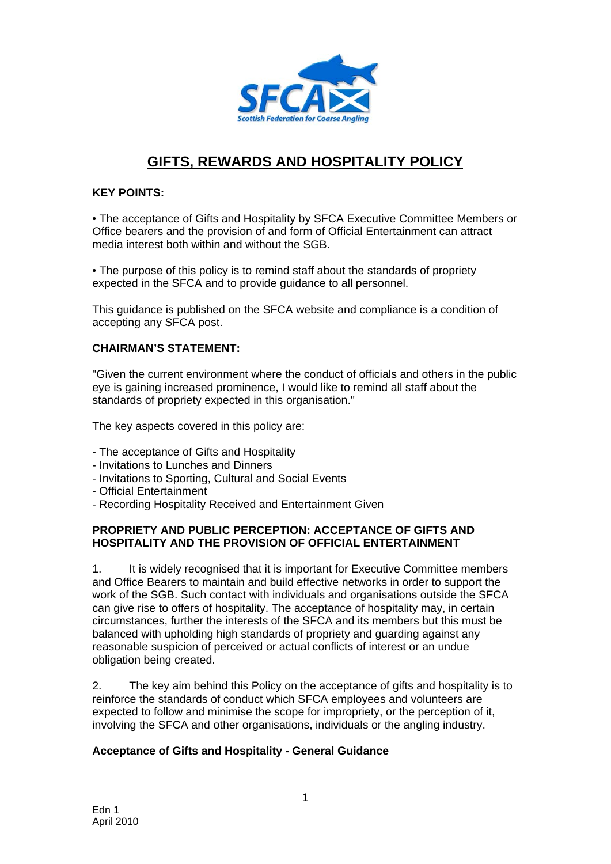

# **GIFTS, REWARDS AND HOSPITALITY POLICY**

## **KEY POINTS:**

• The acceptance of Gifts and Hospitality by SFCA Executive Committee Members or Office bearers and the provision of and form of Official Entertainment can attract media interest both within and without the SGB.

• The purpose of this policy is to remind staff about the standards of propriety expected in the SFCA and to provide guidance to all personnel.

This guidance is published on the SFCA website and compliance is a condition of accepting any SFCA post.

#### **CHAIRMAN'S STATEMENT:**

"Given the current environment where the conduct of officials and others in the public eye is gaining increased prominence, I would like to remind all staff about the standards of propriety expected in this organisation."

The key aspects covered in this policy are:

- The acceptance of Gifts and Hospitality
- Invitations to Lunches and Dinners
- Invitations to Sporting, Cultural and Social Events
- Official Entertainment
- Recording Hospitality Received and Entertainment Given

#### **PROPRIETY AND PUBLIC PERCEPTION: ACCEPTANCE OF GIFTS AND HOSPITALITY AND THE PROVISION OF OFFICIAL ENTERTAINMENT**

1. It is widely recognised that it is important for Executive Committee members and Office Bearers to maintain and build effective networks in order to support the work of the SGB. Such contact with individuals and organisations outside the SFCA can give rise to offers of hospitality. The acceptance of hospitality may, in certain circumstances, further the interests of the SFCA and its members but this must be balanced with upholding high standards of propriety and guarding against any reasonable suspicion of perceived or actual conflicts of interest or an undue obligation being created.

2. The key aim behind this Policy on the acceptance of gifts and hospitality is to reinforce the standards of conduct which SFCA employees and volunteers are expected to follow and minimise the scope for impropriety, or the perception of it, involving the SFCA and other organisations, individuals or the angling industry.

#### **Acceptance of Gifts and Hospitality - General Guidance**